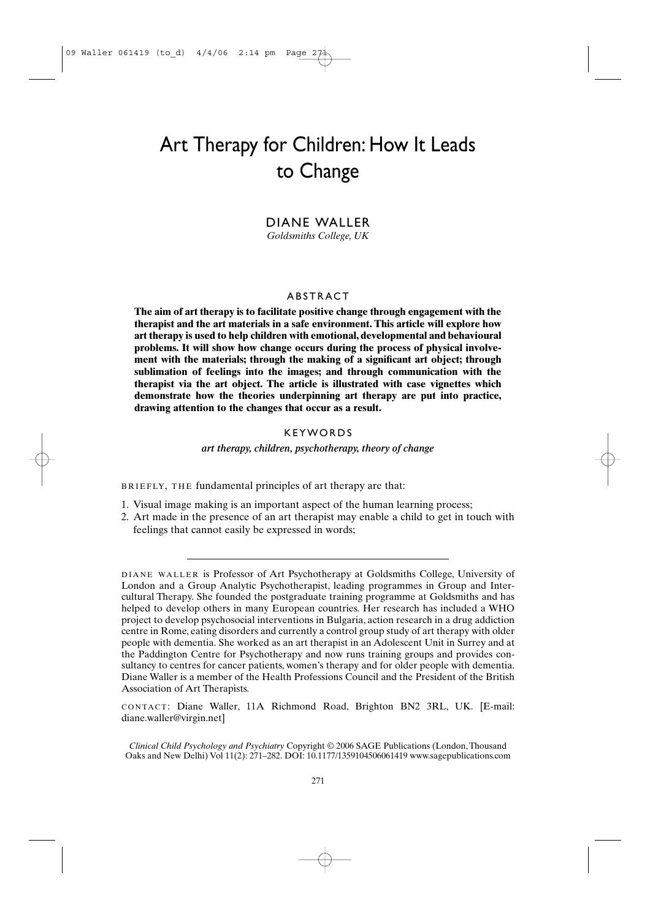# Art Therapy for Children: How It Leads to Change

# DIANE WALLER

*Goldsmiths College, UK*

# ABSTRACT

**The aim of art therapy is to facilitate positive change through engagement with the therapist and the art materials in a safe environment. This article will explore how art therapy is used to help children with emotional, developmental and behavioural problems. It will show how change occurs during the process of physical involvement with the materials; through the making of a significant art object; through sublimation of feelings into the images; and through communication with the therapist via the art object. The article is illustrated with case vignettes which demonstrate how the theories underpinning art therapy are put into practice, drawing attention to the changes that occur as a result.**

# KEYWORDS

# *art therapy, children, psychotherapy, theory of change*

BRIEFLY, THE fundamental principles of art therapy are that:

- 1. Visual image making is an important aspect of the human learning process;
- 2. Art made in the presence of an art therapist may enable a child to get in touch with feelings that cannot easily be expressed in words;

CONTACT: Diane Waller, 11A Richmond Road, Brighton BN2 3RL, UK. [E-mail: diane.waller@virgin.net]

DIANE WALLER is Professor of Art Psychotherapy at Goldsmiths College, University of London and a Group Analytic Psychotherapist, leading programmes in Group and Intercultural Therapy. She founded the postgraduate training programme at Goldsmiths and has helped to develop others in many European countries. Her research has included a WHO project to develop psychosocial interventions in Bulgaria, action research in a drug addiction centre in Rome, eating disorders and currently a control group study of art therapy with older people with dementia. She worked as an art therapist in an Adolescent Unit in Surrey and at the Paddington Centre for Psychotherapy and now runs training groups and provides consultancy to centres for cancer patients, women's therapy and for older people with dementia. Diane Waller is a member of the Health Professions Council and the President of the British Association of Art Therapists.

*Clinical Child Psychology and Psychiatry* Copyright © 2006 SAGE Publications (London, Thousand Oaks and New Delhi) Vol 11(2): 271–282. DOI: 10.1177/1359104506061419 www.sagepublications.com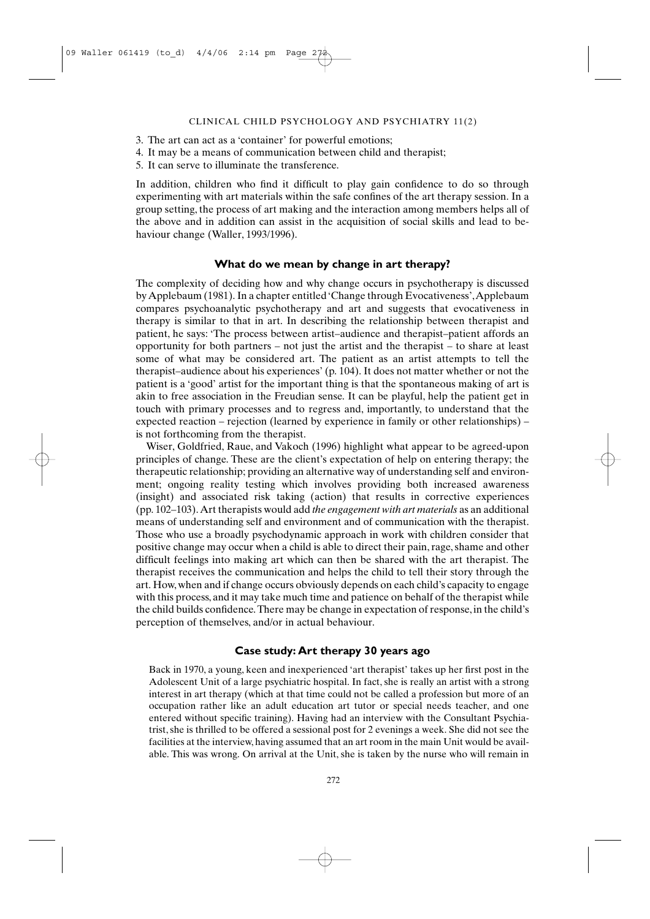- 3. The art can act as a 'container' for powerful emotions;
- 4. It may be a means of communication between child and therapist;
- 5. It can serve to illuminate the transference.

In addition, children who find it difficult to play gain confidence to do so through experimenting with art materials within the safe confines of the art therapy session. In a group setting, the process of art making and the interaction among members helps all of the above and in addition can assist in the acquisition of social skills and lead to behaviour change (Waller, 1993/1996).

# **What do we mean by change in art therapy?**

The complexity of deciding how and why change occurs in psychotherapy is discussed by Applebaum (1981). In a chapter entitled 'Change through Evocativeness',Applebaum compares psychoanalytic psychotherapy and art and suggests that evocativeness in therapy is similar to that in art. In describing the relationship between therapist and patient, he says: 'The process between artist–audience and therapist–patient affords an opportunity for both partners – not just the artist and the therapist – to share at least some of what may be considered art. The patient as an artist attempts to tell the therapist–audience about his experiences' (p. 104). It does not matter whether or not the patient is a 'good' artist for the important thing is that the spontaneous making of art is akin to free association in the Freudian sense. It can be playful, help the patient get in touch with primary processes and to regress and, importantly, to understand that the expected reaction – rejection (learned by experience in family or other relationships) – is not forthcoming from the therapist.

Wiser, Goldfried, Raue, and Vakoch (1996) highlight what appear to be agreed-upon principles of change. These are the client's expectation of help on entering therapy; the therapeutic relationship; providing an alternative way of understanding self and environment; ongoing reality testing which involves providing both increased awareness (insight) and associated risk taking (action) that results in corrective experiences (pp. 102–103). Art therapists would add *the engagement with art materials* as an additional means of understanding self and environment and of communication with the therapist. Those who use a broadly psychodynamic approach in work with children consider that positive change may occur when a child is able to direct their pain, rage, shame and other difficult feelings into making art which can then be shared with the art therapist. The therapist receives the communication and helps the child to tell their story through the art. How, when and if change occurs obviously depends on each child's capacity to engage with this process, and it may take much time and patience on behalf of the therapist while the child builds confidence. There may be change in expectation of response, in the child's perception of themselves, and/or in actual behaviour.

# **Case study: Art therapy 30 years ago**

Back in 1970, a young, keen and inexperienced 'art therapist' takes up her first post in the Adolescent Unit of a large psychiatric hospital. In fact, she is really an artist with a strong interest in art therapy (which at that time could not be called a profession but more of an occupation rather like an adult education art tutor or special needs teacher, and one entered without specific training). Having had an interview with the Consultant Psychiatrist, she is thrilled to be offered a sessional post for 2 evenings a week. She did not see the facilities at the interview, having assumed that an art room in the main Unit would be available. This was wrong. On arrival at the Unit, she is taken by the nurse who will remain in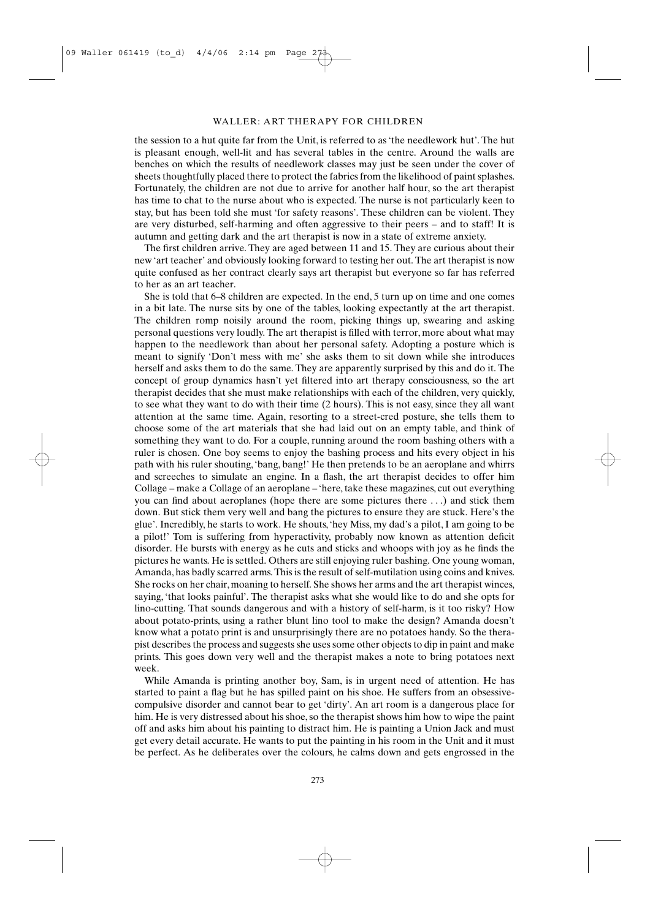# WALLER: ART THERAPY FOR CHILDREN

the session to a hut quite far from the Unit, is referred to as 'the needlework hut'. The hut is pleasant enough, well-lit and has several tables in the centre. Around the walls are benches on which the results of needlework classes may just be seen under the cover of sheets thoughtfully placed there to protect the fabrics from the likelihood of paint splashes. Fortunately, the children are not due to arrive for another half hour, so the art therapist has time to chat to the nurse about who is expected. The nurse is not particularly keen to stay, but has been told she must 'for safety reasons'. These children can be violent. They are very disturbed, self-harming and often aggressive to their peers – and to staff! It is autumn and getting dark and the art therapist is now in a state of extreme anxiety.

The first children arrive. They are aged between 11 and 15. They are curious about their new 'art teacher' and obviously looking forward to testing her out. The art therapist is now quite confused as her contract clearly says art therapist but everyone so far has referred to her as an art teacher.

She is told that 6–8 children are expected. In the end, 5 turn up on time and one comes in a bit late. The nurse sits by one of the tables, looking expectantly at the art therapist. The children romp noisily around the room, picking things up, swearing and asking personal questions very loudly. The art therapist is filled with terror, more about what may happen to the needlework than about her personal safety. Adopting a posture which is meant to signify 'Don't mess with me' she asks them to sit down while she introduces herself and asks them to do the same. They are apparently surprised by this and do it. The concept of group dynamics hasn't yet filtered into art therapy consciousness, so the art therapist decides that she must make relationships with each of the children, very quickly, to see what they want to do with their time (2 hours). This is not easy, since they all want attention at the same time. Again, resorting to a street-cred posture, she tells them to choose some of the art materials that she had laid out on an empty table, and think of something they want to do. For a couple, running around the room bashing others with a ruler is chosen. One boy seems to enjoy the bashing process and hits every object in his path with his ruler shouting, 'bang, bang!' He then pretends to be an aeroplane and whirrs and screeches to simulate an engine. In a flash, the art therapist decides to offer him Collage – make a Collage of an aeroplane – 'here, take these magazines, cut out everything you can find about aeroplanes (hope there are some pictures there . . .) and stick them down. But stick them very well and bang the pictures to ensure they are stuck. Here's the glue'. Incredibly, he starts to work. He shouts, 'hey Miss, my dad's a pilot, I am going to be a pilot!' Tom is suffering from hyperactivity, probably now known as attention deficit disorder. He bursts with energy as he cuts and sticks and whoops with joy as he finds the pictures he wants. He is settled. Others are still enjoying ruler bashing. One young woman, Amanda, has badly scarred arms. This is the result of self-mutilation using coins and knives. She rocks on her chair, moaning to herself. She shows her arms and the art therapist winces, saying, 'that looks painful'. The therapist asks what she would like to do and she opts for lino-cutting. That sounds dangerous and with a history of self-harm, is it too risky? How about potato-prints, using a rather blunt lino tool to make the design? Amanda doesn't know what a potato print is and unsurprisingly there are no potatoes handy. So the therapist describes the process and suggests she uses some other objects to dip in paint and make prints. This goes down very well and the therapist makes a note to bring potatoes next week.

While Amanda is printing another boy, Sam, is in urgent need of attention. He has started to paint a flag but he has spilled paint on his shoe. He suffers from an obsessivecompulsive disorder and cannot bear to get 'dirty'. An art room is a dangerous place for him. He is very distressed about his shoe, so the therapist shows him how to wipe the paint off and asks him about his painting to distract him. He is painting a Union Jack and must get every detail accurate. He wants to put the painting in his room in the Unit and it must be perfect. As he deliberates over the colours, he calms down and gets engrossed in the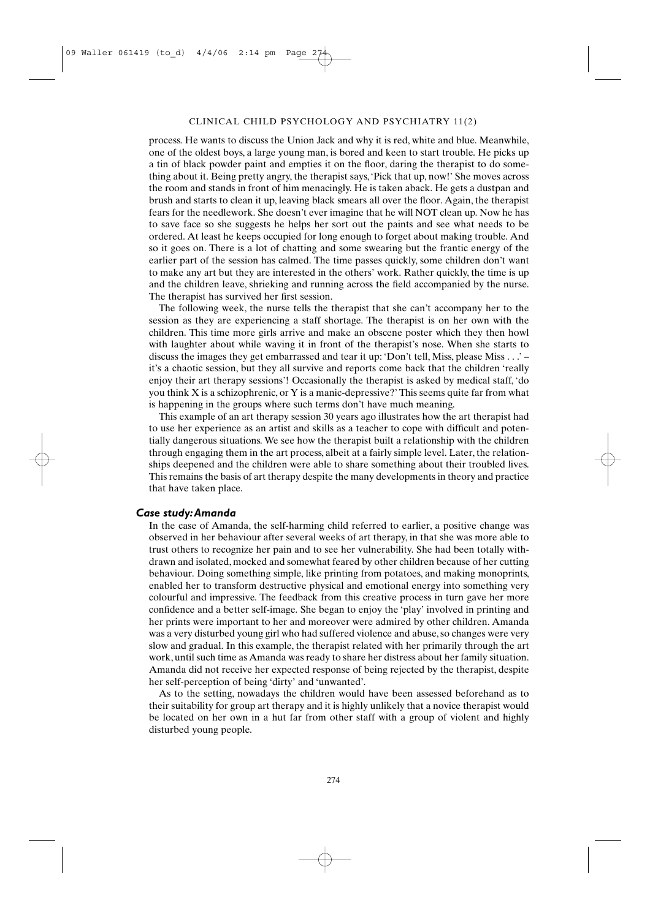process. He wants to discuss the Union Jack and why it is red, white and blue. Meanwhile, one of the oldest boys, a large young man, is bored and keen to start trouble. He picks up a tin of black powder paint and empties it on the floor, daring the therapist to do something about it. Being pretty angry, the therapist says, 'Pick that up, now!' She moves across the room and stands in front of him menacingly. He is taken aback. He gets a dustpan and brush and starts to clean it up, leaving black smears all over the floor. Again, the therapist fears for the needlework. She doesn't ever imagine that he will NOT clean up. Now he has to save face so she suggests he helps her sort out the paints and see what needs to be ordered. At least he keeps occupied for long enough to forget about making trouble. And so it goes on. There is a lot of chatting and some swearing but the frantic energy of the earlier part of the session has calmed. The time passes quickly, some children don't want to make any art but they are interested in the others' work. Rather quickly, the time is up and the children leave, shrieking and running across the field accompanied by the nurse. The therapist has survived her first session.

The following week, the nurse tells the therapist that she can't accompany her to the session as they are experiencing a staff shortage. The therapist is on her own with the children. This time more girls arrive and make an obscene poster which they then howl with laughter about while waving it in front of the therapist's nose. When she starts to discuss the images they get embarrassed and tear it up: 'Don't tell, Miss, please Miss . . .' – it's a chaotic session, but they all survive and reports come back that the children 'really enjoy their art therapy sessions'! Occasionally the therapist is asked by medical staff, 'do you think X is a schizophrenic, or Y is a manic-depressive?' This seems quite far from what is happening in the groups where such terms don't have much meaning.

This example of an art therapy session 30 years ago illustrates how the art therapist had to use her experience as an artist and skills as a teacher to cope with difficult and potentially dangerous situations. We see how the therapist built a relationship with the children through engaging them in the art process, albeit at a fairly simple level. Later, the relationships deepened and the children were able to share something about their troubled lives. This remains the basis of art therapy despite the many developments in theory and practice that have taken place.

# *Case study:Amanda*

In the case of Amanda, the self-harming child referred to earlier, a positive change was observed in her behaviour after several weeks of art therapy, in that she was more able to trust others to recognize her pain and to see her vulnerability. She had been totally withdrawn and isolated, mocked and somewhat feared by other children because of her cutting behaviour. Doing something simple, like printing from potatoes, and making monoprints, enabled her to transform destructive physical and emotional energy into something very colourful and impressive. The feedback from this creative process in turn gave her more confidence and a better self-image. She began to enjoy the 'play' involved in printing and her prints were important to her and moreover were admired by other children. Amanda was a very disturbed young girl who had suffered violence and abuse, so changes were very slow and gradual. In this example, the therapist related with her primarily through the art work, until such time as Amanda was ready to share her distress about her family situation. Amanda did not receive her expected response of being rejected by the therapist, despite her self-perception of being 'dirty' and 'unwanted'.

As to the setting, nowadays the children would have been assessed beforehand as to their suitability for group art therapy and it is highly unlikely that a novice therapist would be located on her own in a hut far from other staff with a group of violent and highly disturbed young people.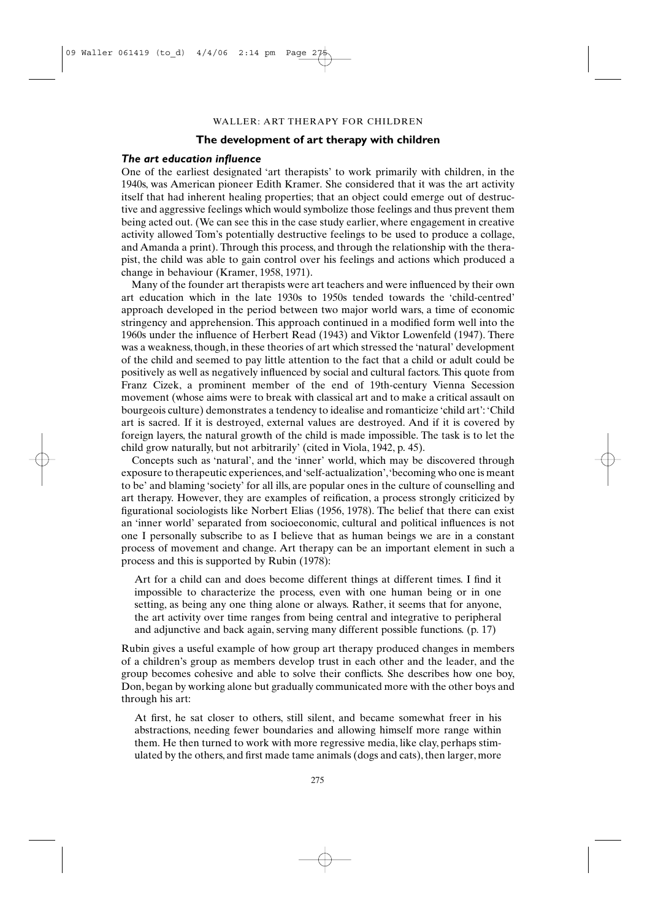# **The development of art therapy with children**

# *The art education influence*

One of the earliest designated 'art therapists' to work primarily with children, in the 1940s, was American pioneer Edith Kramer. She considered that it was the art activity itself that had inherent healing properties; that an object could emerge out of destructive and aggressive feelings which would symbolize those feelings and thus prevent them being acted out. (We can see this in the case study earlier, where engagement in creative activity allowed Tom's potentially destructive feelings to be used to produce a collage, and Amanda a print). Through this process, and through the relationship with the therapist, the child was able to gain control over his feelings and actions which produced a change in behaviour (Kramer, 1958, 1971).

Many of the founder art therapists were art teachers and were influenced by their own art education which in the late 1930s to 1950s tended towards the 'child-centred' approach developed in the period between two major world wars, a time of economic stringency and apprehension. This approach continued in a modified form well into the 1960s under the influence of Herbert Read (1943) and Viktor Lowenfeld (1947). There was a weakness, though, in these theories of art which stressed the 'natural' development of the child and seemed to pay little attention to the fact that a child or adult could be positively as well as negatively influenced by social and cultural factors. This quote from Franz Cizek, a prominent member of the end of 19th-century Vienna Secession movement (whose aims were to break with classical art and to make a critical assault on bourgeois culture) demonstrates a tendency to idealise and romanticize 'child art': 'Child art is sacred. If it is destroyed, external values are destroyed. And if it is covered by foreign layers, the natural growth of the child is made impossible. The task is to let the child grow naturally, but not arbitrarily' (cited in Viola, 1942, p. 45).

Concepts such as 'natural', and the 'inner' world, which may be discovered through exposure to therapeutic experiences, and 'self-actualization','becoming who one is meant to be' and blaming 'society' for all ills, are popular ones in the culture of counselling and art therapy. However, they are examples of reification, a process strongly criticized by figurational sociologists like Norbert Elias (1956, 1978). The belief that there can exist an 'inner world' separated from socioeconomic, cultural and political influences is not one I personally subscribe to as I believe that as human beings we are in a constant process of movement and change. Art therapy can be an important element in such a process and this is supported by Rubin (1978):

Art for a child can and does become different things at different times. I find it impossible to characterize the process, even with one human being or in one setting, as being any one thing alone or always. Rather, it seems that for anyone, the art activity over time ranges from being central and integrative to peripheral and adjunctive and back again, serving many different possible functions. (p. 17)

Rubin gives a useful example of how group art therapy produced changes in members of a children's group as members develop trust in each other and the leader, and the group becomes cohesive and able to solve their conflicts. She describes how one boy, Don, began by working alone but gradually communicated more with the other boys and through his art:

At first, he sat closer to others, still silent, and became somewhat freer in his abstractions, needing fewer boundaries and allowing himself more range within them. He then turned to work with more regressive media, like clay, perhaps stimulated by the others, and first made tame animals (dogs and cats), then larger, more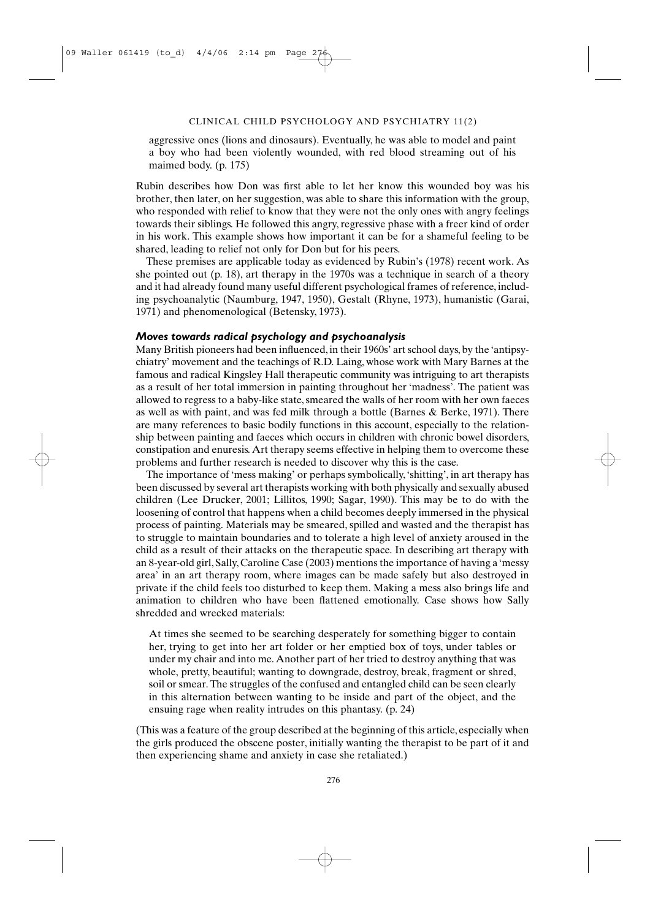aggressive ones (lions and dinosaurs). Eventually, he was able to model and paint a boy who had been violently wounded, with red blood streaming out of his maimed body. (p. 175)

Rubin describes how Don was first able to let her know this wounded boy was his brother, then later, on her suggestion, was able to share this information with the group, who responded with relief to know that they were not the only ones with angry feelings towards their siblings. He followed this angry, regressive phase with a freer kind of order in his work. This example shows how important it can be for a shameful feeling to be shared, leading to relief not only for Don but for his peers.

These premises are applicable today as evidenced by Rubin's (1978) recent work. As she pointed out (p. 18), art therapy in the 1970s was a technique in search of a theory and it had already found many useful different psychological frames of reference, including psychoanalytic (Naumburg, 1947, 1950), Gestalt (Rhyne, 1973), humanistic (Garai, 1971) and phenomenological (Betensky, 1973).

# *Moves towards radical psychology and psychoanalysis*

Many British pioneers had been influenced, in their 1960s' art school days, by the 'antipsychiatry' movement and the teachings of R.D. Laing, whose work with Mary Barnes at the famous and radical Kingsley Hall therapeutic community was intriguing to art therapists as a result of her total immersion in painting throughout her 'madness'. The patient was allowed to regress to a baby-like state, smeared the walls of her room with her own faeces as well as with paint, and was fed milk through a bottle (Barnes & Berke, 1971). There are many references to basic bodily functions in this account, especially to the relationship between painting and faeces which occurs in children with chronic bowel disorders, constipation and enuresis. Art therapy seems effective in helping them to overcome these problems and further research is needed to discover why this is the case.

The importance of 'mess making' or perhaps symbolically, 'shitting', in art therapy has been discussed by several art therapists working with both physically and sexually abused children (Lee Drucker, 2001; Lillitos, 1990; Sagar, 1990). This may be to do with the loosening of control that happens when a child becomes deeply immersed in the physical process of painting. Materials may be smeared, spilled and wasted and the therapist has to struggle to maintain boundaries and to tolerate a high level of anxiety aroused in the child as a result of their attacks on the therapeutic space. In describing art therapy with an 8-year-old girl, Sally, Caroline Case (2003) mentions the importance of having a 'messy area' in an art therapy room, where images can be made safely but also destroyed in private if the child feels too disturbed to keep them. Making a mess also brings life and animation to children who have been flattened emotionally. Case shows how Sally shredded and wrecked materials:

At times she seemed to be searching desperately for something bigger to contain her, trying to get into her art folder or her emptied box of toys, under tables or under my chair and into me. Another part of her tried to destroy anything that was whole, pretty, beautiful; wanting to downgrade, destroy, break, fragment or shred, soil or smear. The struggles of the confused and entangled child can be seen clearly in this alternation between wanting to be inside and part of the object, and the ensuing rage when reality intrudes on this phantasy. (p. 24)

(This was a feature of the group described at the beginning of this article, especially when the girls produced the obscene poster, initially wanting the therapist to be part of it and then experiencing shame and anxiety in case she retaliated.)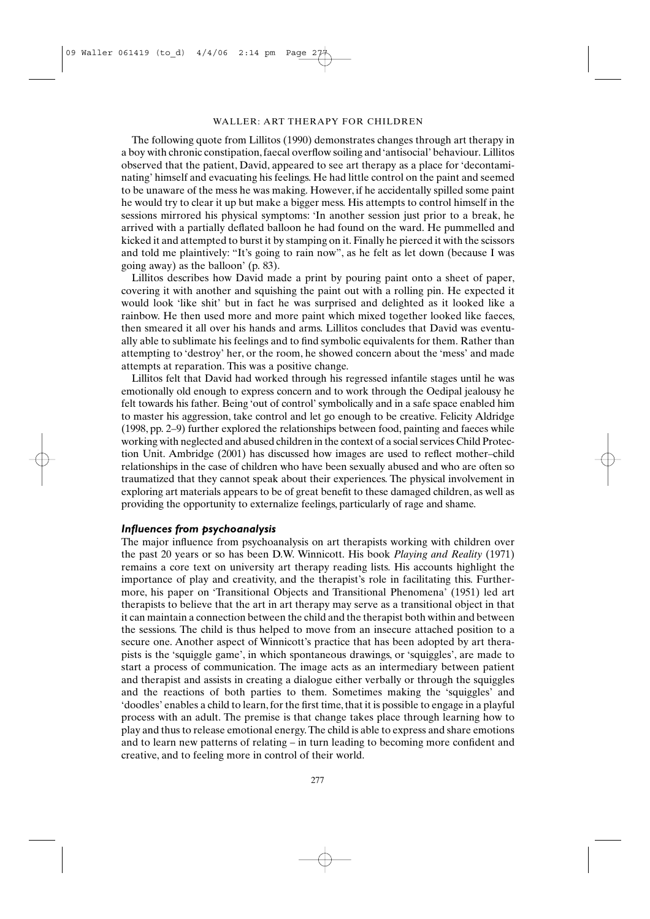#### WALLER: ART THERAPY FOR CHILDREN

The following quote from Lillitos (1990) demonstrates changes through art therapy in a boy with chronic constipation, faecal overflow soiling and 'antisocial' behaviour. Lillitos observed that the patient, David, appeared to see art therapy as a place for 'decontaminating' himself and evacuating his feelings. He had little control on the paint and seemed to be unaware of the mess he was making. However, if he accidentally spilled some paint he would try to clear it up but make a bigger mess. His attempts to control himself in the sessions mirrored his physical symptoms: 'In another session just prior to a break, he arrived with a partially deflated balloon he had found on the ward. He pummelled and kicked it and attempted to burst it by stamping on it. Finally he pierced it with the scissors and told me plaintively: "It's going to rain now", as he felt as let down (because I was going away) as the balloon' (p. 83).

Lillitos describes how David made a print by pouring paint onto a sheet of paper, covering it with another and squishing the paint out with a rolling pin. He expected it would look 'like shit' but in fact he was surprised and delighted as it looked like a rainbow. He then used more and more paint which mixed together looked like faeces, then smeared it all over his hands and arms. Lillitos concludes that David was eventually able to sublimate his feelings and to find symbolic equivalents for them. Rather than attempting to 'destroy' her, or the room, he showed concern about the 'mess' and made attempts at reparation. This was a positive change.

Lillitos felt that David had worked through his regressed infantile stages until he was emotionally old enough to express concern and to work through the Oedipal jealousy he felt towards his father. Being 'out of control' symbolically and in a safe space enabled him to master his aggression, take control and let go enough to be creative. Felicity Aldridge (1998, pp. 2–9) further explored the relationships between food, painting and faeces while working with neglected and abused children in the context of a social services Child Protection Unit. Ambridge (2001) has discussed how images are used to reflect mother–child relationships in the case of children who have been sexually abused and who are often so traumatized that they cannot speak about their experiences. The physical involvement in exploring art materials appears to be of great benefit to these damaged children, as well as providing the opportunity to externalize feelings, particularly of rage and shame.

# *Influences from psychoanalysis*

The major influence from psychoanalysis on art therapists working with children over the past 20 years or so has been D.W. Winnicott. His book *Playing and Reality* (1971) remains a core text on university art therapy reading lists. His accounts highlight the importance of play and creativity, and the therapist's role in facilitating this. Furthermore, his paper on 'Transitional Objects and Transitional Phenomena' (1951) led art therapists to believe that the art in art therapy may serve as a transitional object in that it can maintain a connection between the child and the therapist both within and between the sessions. The child is thus helped to move from an insecure attached position to a secure one. Another aspect of Winnicott's practice that has been adopted by art therapists is the 'squiggle game', in which spontaneous drawings, or 'squiggles', are made to start a process of communication. The image acts as an intermediary between patient and therapist and assists in creating a dialogue either verbally or through the squiggles and the reactions of both parties to them. Sometimes making the 'squiggles' and 'doodles' enables a child to learn, for the first time, that it is possible to engage in a playful process with an adult. The premise is that change takes place through learning how to play and thus to release emotional energy. The child is able to express and share emotions and to learn new patterns of relating – in turn leading to becoming more confident and creative, and to feeling more in control of their world.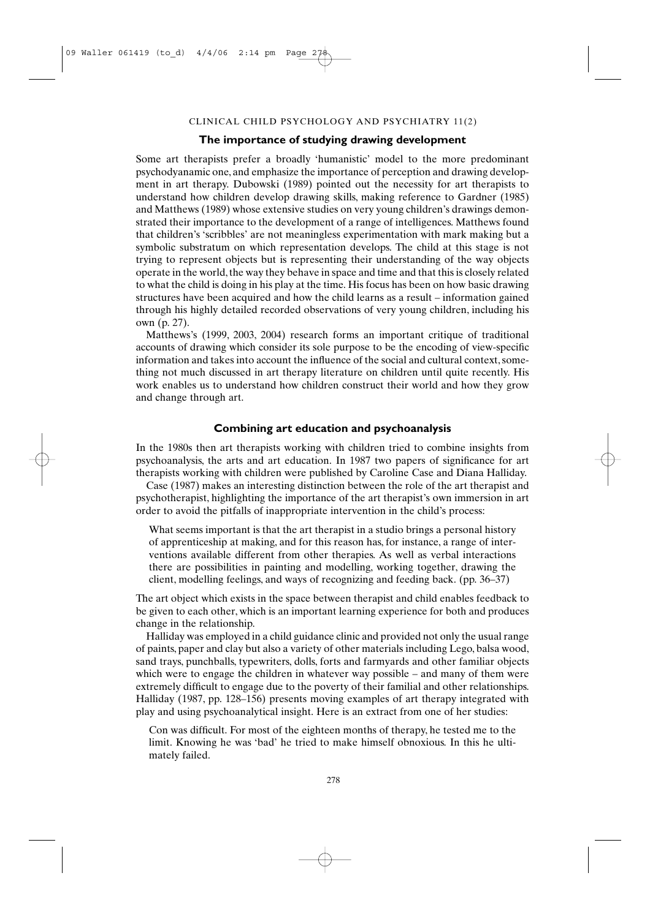# **The importance of studying drawing development**

Some art therapists prefer a broadly 'humanistic' model to the more predominant psychodyanamic one, and emphasize the importance of perception and drawing development in art therapy. Dubowski (1989) pointed out the necessity for art therapists to understand how children develop drawing skills, making reference to Gardner (1985) and Matthews (1989) whose extensive studies on very young children's drawings demonstrated their importance to the development of a range of intelligences. Matthews found that children's 'scribbles' are not meaningless experimentation with mark making but a symbolic substratum on which representation develops. The child at this stage is not trying to represent objects but is representing their understanding of the way objects operate in the world, the way they behave in space and time and that this is closely related to what the child is doing in his play at the time. His focus has been on how basic drawing structures have been acquired and how the child learns as a result – information gained through his highly detailed recorded observations of very young children, including his own (p. 27).

Matthews's (1999, 2003, 2004) research forms an important critique of traditional accounts of drawing which consider its sole purpose to be the encoding of view-specific information and takes into account the influence of the social and cultural context, something not much discussed in art therapy literature on children until quite recently. His work enables us to understand how children construct their world and how they grow and change through art.

# **Combining art education and psychoanalysis**

In the 1980s then art therapists working with children tried to combine insights from psychoanalysis, the arts and art education. In 1987 two papers of significance for art therapists working with children were published by Caroline Case and Diana Halliday.

Case (1987) makes an interesting distinction between the role of the art therapist and psychotherapist, highlighting the importance of the art therapist's own immersion in art order to avoid the pitfalls of inappropriate intervention in the child's process:

What seems important is that the art therapist in a studio brings a personal history of apprenticeship at making, and for this reason has, for instance, a range of interventions available different from other therapies. As well as verbal interactions there are possibilities in painting and modelling, working together, drawing the client, modelling feelings, and ways of recognizing and feeding back. (pp. 36–37)

The art object which exists in the space between therapist and child enables feedback to be given to each other, which is an important learning experience for both and produces change in the relationship.

Halliday was employed in a child guidance clinic and provided not only the usual range of paints, paper and clay but also a variety of other materials including Lego, balsa wood, sand trays, punchballs, typewriters, dolls, forts and farmyards and other familiar objects which were to engage the children in whatever way possible – and many of them were extremely difficult to engage due to the poverty of their familial and other relationships. Halliday (1987, pp. 128–156) presents moving examples of art therapy integrated with play and using psychoanalytical insight. Here is an extract from one of her studies:

Con was difficult. For most of the eighteen months of therapy, he tested me to the limit. Knowing he was 'bad' he tried to make himself obnoxious. In this he ultimately failed.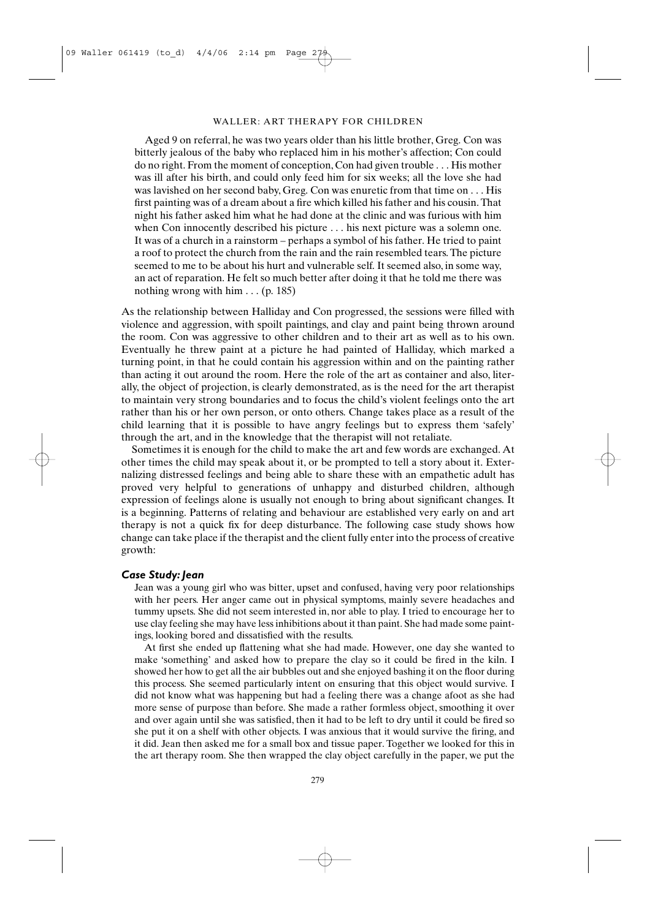#### WALLER: ART THERAPY FOR CHILDREN

Aged 9 on referral, he was two years older than his little brother, Greg. Con was bitterly jealous of the baby who replaced him in his mother's affection; Con could do no right. From the moment of conception, Con had given trouble . . . His mother was ill after his birth, and could only feed him for six weeks; all the love she had was lavished on her second baby, Greg. Con was enuretic from that time on . . . His first painting was of a dream about a fire which killed his father and his cousin. That night his father asked him what he had done at the clinic and was furious with him when Con innocently described his picture ... his next picture was a solemn one. It was of a church in a rainstorm – perhaps a symbol of his father. He tried to paint a roof to protect the church from the rain and the rain resembled tears. The picture seemed to me to be about his hurt and vulnerable self. It seemed also, in some way, an act of reparation. He felt so much better after doing it that he told me there was nothing wrong with him . . . (p. 185)

As the relationship between Halliday and Con progressed, the sessions were filled with violence and aggression, with spoilt paintings, and clay and paint being thrown around the room. Con was aggressive to other children and to their art as well as to his own. Eventually he threw paint at a picture he had painted of Halliday, which marked a turning point, in that he could contain his aggression within and on the painting rather than acting it out around the room. Here the role of the art as container and also, literally, the object of projection, is clearly demonstrated, as is the need for the art therapist to maintain very strong boundaries and to focus the child's violent feelings onto the art rather than his or her own person, or onto others. Change takes place as a result of the child learning that it is possible to have angry feelings but to express them 'safely' through the art, and in the knowledge that the therapist will not retaliate.

Sometimes it is enough for the child to make the art and few words are exchanged. At other times the child may speak about it, or be prompted to tell a story about it. Externalizing distressed feelings and being able to share these with an empathetic adult has proved very helpful to generations of unhappy and disturbed children, although expression of feelings alone is usually not enough to bring about significant changes. It is a beginning. Patterns of relating and behaviour are established very early on and art therapy is not a quick fix for deep disturbance. The following case study shows how change can take place if the therapist and the client fully enter into the process of creative growth:

# *Case Study: Jean*

Jean was a young girl who was bitter, upset and confused, having very poor relationships with her peers. Her anger came out in physical symptoms, mainly severe headaches and tummy upsets. She did not seem interested in, nor able to play. I tried to encourage her to use clay feeling she may have less inhibitions about it than paint. She had made some paintings, looking bored and dissatisfied with the results.

At first she ended up flattening what she had made. However, one day she wanted to make 'something' and asked how to prepare the clay so it could be fired in the kiln. I showed her how to get all the air bubbles out and she enjoyed bashing it on the floor during this process. She seemed particularly intent on ensuring that this object would survive. I did not know what was happening but had a feeling there was a change afoot as she had more sense of purpose than before. She made a rather formless object, smoothing it over and over again until she was satisfied, then it had to be left to dry until it could be fired so she put it on a shelf with other objects. I was anxious that it would survive the firing, and it did. Jean then asked me for a small box and tissue paper. Together we looked for this in the art therapy room. She then wrapped the clay object carefully in the paper, we put the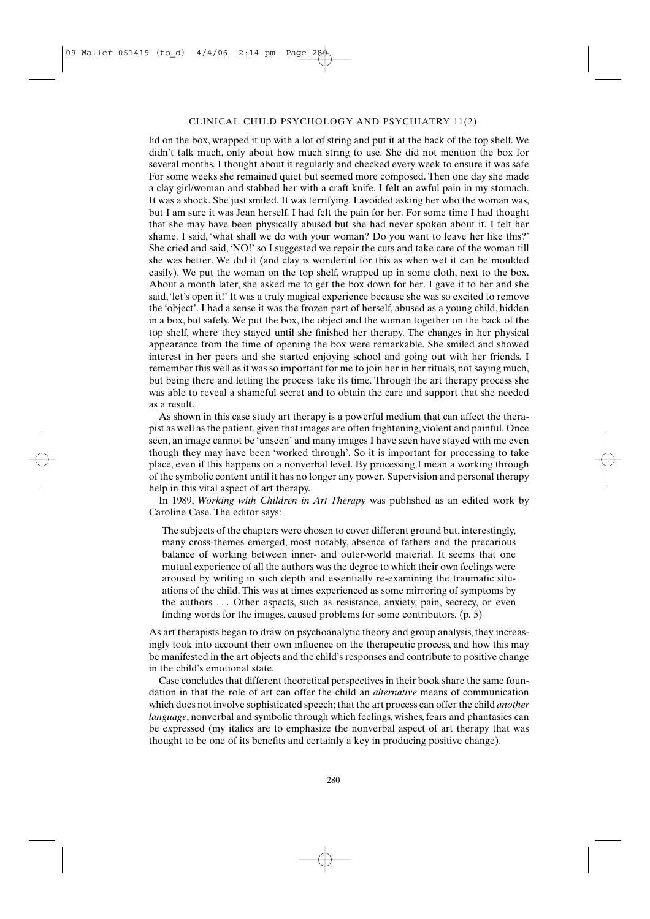lid on the box, wrapped it up with a lot of string and put it at the back of the top shelf. We didn't talk much, only about how much string to use. She did not mention the box for several months. I thought about it regularly and checked every week to ensure it was safe For some weeks she remained quiet but seemed more composed. Then one day she made a clay girl/woman and stabbed her with a craft knife. I felt an awful pain in my stomach. It was a shock. She just smiled. It was terrifying. I avoided asking her who the woman was, but I am sure it was Jean herself. I had felt the pain for her. For some time I had thought that she may have been physically abused but she had never spoken about it. I felt her shame. I said, 'what shall we do with your woman? Do you want to leave her like this?' She cried and said, 'NO!' so I suggested we repair the cuts and take care of the woman till she was better. We did it (and clay is wonderful for this as when wet it can be moulded easily). We put the woman on the top shelf, wrapped up in some cloth, next to the box. About a month later, she asked me to get the box down for her. I gave it to her and she said, 'let's open it!' It was a truly magical experience because she was so excited to remove the 'object'. I had a sense it was the frozen part of herself, abused as a young child, hidden in a box, but safely. We put the box, the object and the woman together on the back of the top shelf, where they stayed until she finished her therapy. The changes in her physical appearance from the time of opening the box were remarkable. She smiled and showed interest in her peers and she started enjoying school and going out with her friends. I remember this well as it was so important for me to join her in her rituals, not saying much, but being there and letting the process take its time. Through the art therapy process she was able to reveal a shameful secret and to obtain the care and support that she needed as a result.

As shown in this case study art therapy is a powerful medium that can affect the therapist as well as the patient, given that images are often frightening, violent and painful. Once seen, an image cannot be 'unseen' and many images I have seen have stayed with me even though they may have been 'worked through'. So it is important for processing to take place, even if this happens on a nonverbal level. By processing I mean a working through of the symbolic content until it has no longer any power. Supervision and personal therapy help in this vital aspect of art therapy.

In 1989, *Working with Children in Art Therapy* was published as an edited work by Caroline Case. The editor says:

The subjects of the chapters were chosen to cover different ground but, interestingly, many cross-themes emerged, most notably, absence of fathers and the precarious balance of working between inner- and outer-world material. It seems that one mutual experience of all the authors was the degree to which their own feelings were aroused by writing in such depth and essentially re-examining the traumatic situations of the child. This was at times experienced as some mirroring of symptoms by the authors ... Other aspects, such as resistance, anxiety, pain, secrecy, or even finding words for the images, caused problems for some contributors. (p. 5)

As art therapists began to draw on psychoanalytic theory and group analysis, they increasingly took into account their own influence on the therapeutic process, and how this may be manifested in the art objects and the child's responses and contribute to positive change in the child's emotional state.

Case concludes that different theoretical perspectives in their book share the same foundation in that the role of art can offer the child an *alternative* means of communication which does not involve sophisticated speech; that the art process can offer the child *another language*, nonverbal and symbolic through which feelings, wishes, fears and phantasies can be expressed (my italics are to emphasize the nonverbal aspect of art therapy that was thought to be one of its benefits and certainly a key in producing positive change).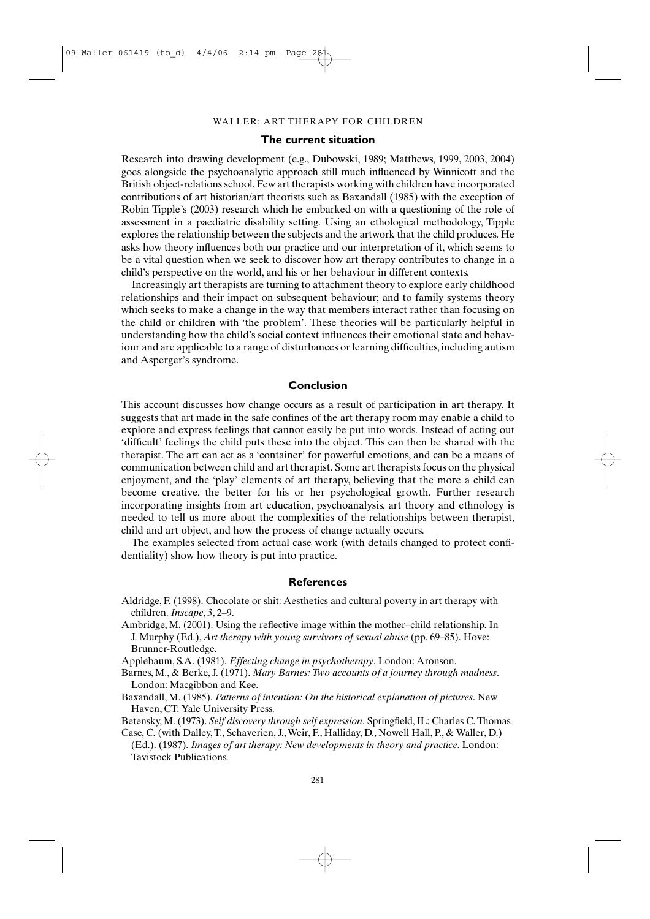# **The current situation**

Research into drawing development (e.g., Dubowski, 1989; Matthews, 1999, 2003, 2004) goes alongside the psychoanalytic approach still much influenced by Winnicott and the British object-relations school. Few art therapists working with children have incorporated contributions of art historian/art theorists such as Baxandall (1985) with the exception of Robin Tipple's (2003) research which he embarked on with a questioning of the role of assessment in a paediatric disability setting. Using an ethological methodology, Tipple explores the relationship between the subjects and the artwork that the child produces. He asks how theory influences both our practice and our interpretation of it, which seems to be a vital question when we seek to discover how art therapy contributes to change in a child's perspective on the world, and his or her behaviour in different contexts.

Increasingly art therapists are turning to attachment theory to explore early childhood relationships and their impact on subsequent behaviour; and to family systems theory which seeks to make a change in the way that members interact rather than focusing on the child or children with 'the problem'. These theories will be particularly helpful in understanding how the child's social context influences their emotional state and behaviour and are applicable to a range of disturbances or learning difficulties, including autism and Asperger's syndrome.

# **Conclusion**

This account discusses how change occurs as a result of participation in art therapy. It suggests that art made in the safe confines of the art therapy room may enable a child to explore and express feelings that cannot easily be put into words. Instead of acting out 'difficult' feelings the child puts these into the object. This can then be shared with the therapist. The art can act as a 'container' for powerful emotions, and can be a means of communication between child and art therapist. Some art therapists focus on the physical enjoyment, and the 'play' elements of art therapy, believing that the more a child can become creative, the better for his or her psychological growth. Further research incorporating insights from art education, psychoanalysis, art theory and ethnology is needed to tell us more about the complexities of the relationships between therapist, child and art object, and how the process of change actually occurs.

The examples selected from actual case work (with details changed to protect confidentiality) show how theory is put into practice.

#### **References**

- Aldridge, F. (1998). Chocolate or shit: Aesthetics and cultural poverty in art therapy with children. *Inscape*, *3*, 2–9.
- Ambridge, M. (2001). Using the reflective image within the mother–child relationship. In J. Murphy (Ed.), *Art therapy with young survivors of sexual abuse* (pp. 69–85). Hove: Brunner-Routledge.

Applebaum, S.A. (1981). *Effecting change in psychotherapy*. London: Aronson.

- Barnes, M., & Berke, J. (1971). *Mary Barnes: Two accounts of a journey through madness*. London: Macgibbon and Kee.
- Baxandall, M. (1985). *Patterns of intention: On the historical explanation of pictures*. New Haven, CT: Yale University Press.

Betensky, M. (1973). *Self discovery through self expression*. Springfield, IL: Charles C. Thomas. Case, C. (with Dalley, T., Schaverien, J., Weir, F., Halliday, D., Nowell Hall, P., & Waller, D.)

(Ed.). (1987). *Images of art therapy: New developments in theory and practice*. London: Tavistock Publications.